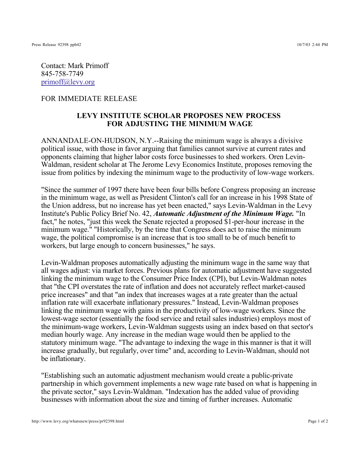Contact: Mark Primoff 845-758-7749 primoff@levy.org

## FOR IMMEDIATE RELEASE

## **LEVY INSTITUTE SCHOLAR PROPOSES NEW PROCESS FOR ADJUSTING THE MINIMUM WAGE**

ANNANDALE-ON-HUDSON, N.Y.--Raising the minimum wage is always a divisive political issue, with those in favor arguing that families cannot survive at current rates and opponents claiming that higher labor costs force businesses to shed workers. Oren Levin-Waldman, resident scholar at The Jerome Levy Economics Institute, proposes removing the issue from politics by indexing the minimum wage to the productivity of low-wage workers.

"Since the summer of 1997 there have been four bills before Congress proposing an increase in the minimum wage, as well as President Clinton's call for an increase in his 1998 State of the Union address, but no increase has yet been enacted," says Levin-Waldman in the Levy Institute's Public Policy Brief No. 42, *Automatic Adjustment of the Minimum Wage*. "In fact," he notes, "just this week the Senate rejected a proposed \$1-per-hour increase in the minimum wage." "Historically, by the time that Congress does act to raise the minimum wage, the political compromise is an increase that is too small to be of much benefit to workers, but large enough to concern businesses," he says.

Levin-Waldman proposes automatically adjusting the minimum wage in the same way that all wages adjust: via market forces. Previous plans for automatic adjustment have suggested linking the minimum wage to the Consumer Price Index (CPI), but Levin-Waldman notes that "the CPI overstates the rate of inflation and does not accurately reflect market-caused price increases" and that "an index that increases wages at a rate greater than the actual inflation rate will exacerbate inflationary pressures." Instead, Levin-Waldman proposes linking the minimum wage with gains in the productivity of low-wage workers. Since the lowest-wage sector (essentially the food service and retail sales industries) employs most of the minimum-wage workers, Levin-Waldman suggests using an index based on that sector's median hourly wage. Any increase in the median wage would then be applied to the statutory minimum wage. "The advantage to indexing the wage in this manner is that it will increase gradually, but regularly, over time" and, according to Levin-Waldman, should not be inflationary.

"Establishing such an automatic adjustment mechanism would create a public-private partnership in which government implements a new wage rate based on what is happening in the private sector," says Levin-Waldman. "Indexation has the added value of providing businesses with information about the size and timing of further increases. Automatic